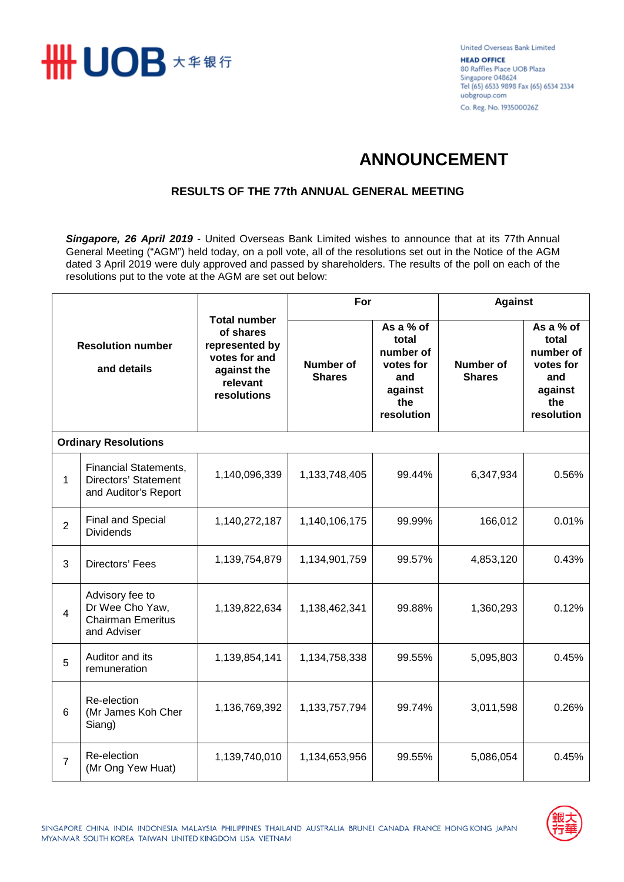

United Overseas Bank Limited **HEAD OFFICE** 80 Raffles Place UOB Plaza Singapore 048624 Tel (65) 6533 9898 Fax (65) 6534 2334 uobgroup.com Co. Reg. No. 193500026Z

## **ANNOUNCEMENT**

## **RESULTS OF THE 77th ANNUAL GENERAL MEETING**

*Singapore, 26 April 2019* - United Overseas Bank Limited wishes to announce that at its 77th Annual General Meeting ("AGM") held today, on a poll vote, all of the resolutions set out in the Notice of the AGM dated 3 April 2019 were duly approved and passed by shareholders. The results of the poll on each of the resolutions put to the vote at the AGM are set out below:

| <b>Resolution number</b><br>and details |                                                                               | <b>Total number</b><br>of shares<br>represented by<br>votes for and<br>against the<br>relevant<br>resolutions | For                        |                                                                                     | <b>Against</b>                    |                                                                                     |  |  |  |  |
|-----------------------------------------|-------------------------------------------------------------------------------|---------------------------------------------------------------------------------------------------------------|----------------------------|-------------------------------------------------------------------------------------|-----------------------------------|-------------------------------------------------------------------------------------|--|--|--|--|
|                                         |                                                                               |                                                                                                               | Number of<br><b>Shares</b> | As a % of<br>total<br>number of<br>votes for<br>and<br>against<br>the<br>resolution | <b>Number of</b><br><b>Shares</b> | As a % of<br>total<br>number of<br>votes for<br>and<br>against<br>the<br>resolution |  |  |  |  |
| <b>Ordinary Resolutions</b>             |                                                                               |                                                                                                               |                            |                                                                                     |                                   |                                                                                     |  |  |  |  |
| 1                                       | <b>Financial Statements,</b><br>Directors' Statement<br>and Auditor's Report  | 1,140,096,339                                                                                                 | 1,133,748,405              | 99.44%                                                                              | 6,347,934                         | 0.56%                                                                               |  |  |  |  |
| $\overline{2}$                          | Final and Special<br><b>Dividends</b>                                         | 1,140,272,187                                                                                                 | 1,140,106,175              | 99.99%                                                                              | 166,012                           | 0.01%                                                                               |  |  |  |  |
| 3                                       | Directors' Fees                                                               | 1,139,754,879                                                                                                 | 1,134,901,759              | 99.57%                                                                              | 4,853,120                         | 0.43%                                                                               |  |  |  |  |
| $\overline{4}$                          | Advisory fee to<br>Dr Wee Cho Yaw,<br><b>Chairman Emeritus</b><br>and Adviser | 1,139,822,634                                                                                                 | 1,138,462,341              | 99.88%                                                                              | 1,360,293                         | 0.12%                                                                               |  |  |  |  |
| 5                                       | Auditor and its<br>remuneration                                               | 1,139,854,141                                                                                                 | 1,134,758,338              | 99.55%                                                                              | 5,095,803                         | 0.45%                                                                               |  |  |  |  |
| $6\phantom{1}6$                         | Re-election<br>(Mr James Koh Cher<br>Siang)                                   | 1,136,769,392                                                                                                 | 1,133,757,794              | 99.74%                                                                              | 3,011,598                         | 0.26%                                                                               |  |  |  |  |
| $\overline{7}$                          | Re-election<br>(Mr Ong Yew Huat)                                              | 1,139,740,010                                                                                                 | 1,134,653,956              | 99.55%                                                                              | 5,086,054                         | 0.45%                                                                               |  |  |  |  |